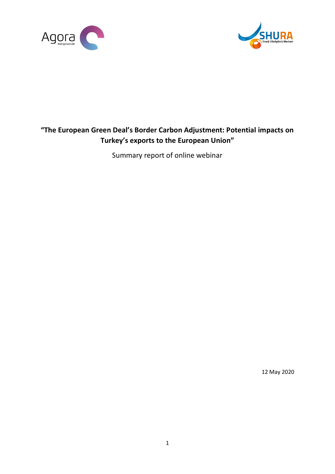



# **"The European Green Deal's Border Carbon Adjustment: Potential impacts on Turkey's exports to the European Union"**

Summary report of online webinar

12 May 2020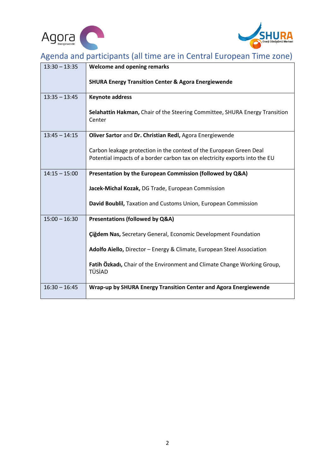



# Agenda and participants (all time are in Central European Time zone)

| $13:30 - 13:35$ | <b>Welcome and opening remarks</b>                                                                                                                 |
|-----------------|----------------------------------------------------------------------------------------------------------------------------------------------------|
|                 | <b>SHURA Energy Transition Center &amp; Agora Energiewende</b>                                                                                     |
| $13:35 - 13:45$ | <b>Keynote address</b>                                                                                                                             |
|                 | Selahattin Hakman, Chair of the Steering Committee, SHURA Energy Transition<br>Center                                                              |
| $13:45 - 14:15$ | Oliver Sartor and Dr. Christian Redl, Agora Energiewende                                                                                           |
|                 | Carbon leakage protection in the context of the European Green Deal<br>Potential impacts of a border carbon tax on electricity exports into the EU |
| $14:15 - 15:00$ | Presentation by the European Commission (followed by Q&A)                                                                                          |
|                 | Jacek-Michal Kozak, DG Trade, European Commission                                                                                                  |
|                 | David Boublil, Taxation and Customs Union, European Commission                                                                                     |
| $15:00 - 16:30$ | Presentations (followed by Q&A)                                                                                                                    |
|                 | <b>Çiğdem Nas, Secretary General, Economic Development Foundation</b>                                                                              |
|                 | Adolfo Aiello, Director - Energy & Climate, European Steel Association                                                                             |
|                 | Fatih Özkadı, Chair of the Environment and Climate Change Working Group,<br>TÜSİAD                                                                 |
| $16:30 - 16:45$ | Wrap-up by SHURA Energy Transition Center and Agora Energiewende                                                                                   |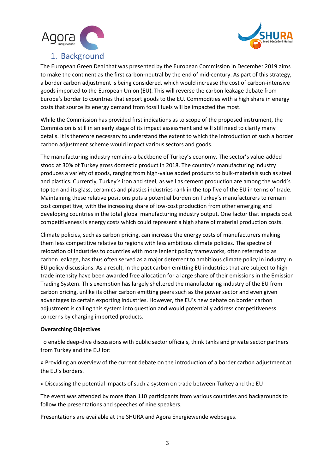



# 1. Background

The European Green Deal that was presented by the European Commission in December 2019 aims to make the continent as the first carbon-neutral by the end of mid-century. As part of this strategy, a border carbon adjustment is being considered, which would increase the cost of carbon-intensive goods imported to the European Union (EU). This will reverse the carbon leakage debate from Europe's border to countries that export goods to the EU. Commodities with a high share in energy costs that source its energy demand from fossil fuels will be impacted the most.

While the Commission has provided first indications as to scope of the proposed instrument, the Commission is still in an early stage of its impact assessment and will still need to clarify many details. It is therefore necessary to understand the extent to which the introduction of such a border carbon adjustment scheme would impact various sectors and goods.

The manufacturing industry remains a backbone of Turkey's economy. The sector's value-added stood at 30% of Turkey gross domestic product in 2018. The country's manufacturing industry produces a variety of goods, ranging from high-value added products to bulk-materials such as steel and plastics. Currently, Turkey's iron and steel, as well as cement production are among the world's top ten and its glass, ceramics and plastics industries rank in the top five of the EU in terms of trade. Maintaining these relative positions puts a potential burden on Turkey's manufacturers to remain cost competitive, with the increasing share of low-cost production from other emerging and developing countries in the total global manufacturing industry output. One factor that impacts cost competitiveness is energy costs which could represent a high share of material production costs.

Climate policies, such as carbon pricing, can increase the energy costs of manufacturers making them less competitive relative to regions with less ambitious climate policies. The spectre of relocation of industries to countries with more lenient policy frameworks, often referred to as carbon leakage, has thus often served as a major deterrent to ambitious climate policy in industry in EU policy discussions. As a result, in the past carbon emitting EU industries that are subject to high trade intensity have been awarded free allocation for a large share of their emissions in the Emission Trading System. This exemption has largely sheltered the manufacturing industry of the EU from carbon pricing, unlike its other carbon emitting peers such as the power sector and even given advantages to certain exporting industries. However, the EU's new debate on border carbon adjustment is calling this system into question and would potentially address competitiveness concerns by charging imported products.

#### **Overarching Objectives**

To enable deep-dive discussions with public sector officials, think tanks and private sector partners from Turkey and the EU for:

» Providing an overview of the current debate on the introduction of a border carbon adjustment at the EU's borders.

» Discussing the potential impacts of such a system on trade between Turkey and the EU

The event was attended by more than 110 participants from various countries and backgrounds to follow the presentations and speeches of nine speakers.

Presentations are available at the SHURA and Agora Energiewende webpages.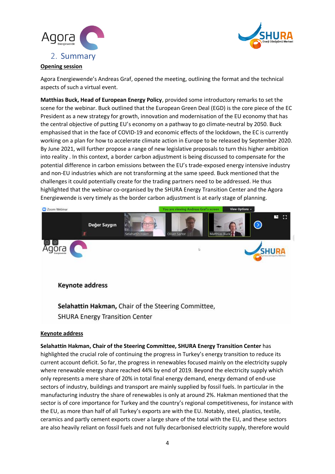



### **Opening session**

Agora Energiewende's Andreas Graf, opened the meeting, outlining the format and the technical aspects of such a virtual event.

**Matthias Buck, Head of European Energy Policy**, provided some introductory remarks to set the scene for the webinar. Buck outlined that the European Green Deal (EGD) is the core piece of the EC President as a new strategy for growth, innovation and modernisation of the EU economy that has the central objective of putting EU's economy on a pathway to go climate-neutral by 2050. Buck emphasised that in the face of COVID-19 and economic effects of the lockdown, the EC is currently working on a plan for how to accelerate climate action in Europe to be released by September 2020. By June 2021, will further propose a range of new legislative proposals to turn this higher ambition into reality . In this context, a border carbon adjustment is being discussed to compensate for the potential difference in carbon emissions between the EU's trade-exposed energy intensive industry and non-EU industries which are not transforming at the same speed. Buck mentioned that the challenges it could potentially create for the trading partners need to be addressed. He thus highlighted that the webinar co-organised by the SHURA Energy Transition Center and the Agora Energiewende is very timely as the border carbon adjustment is at early stage of planning.



**Keynote address** 

Selahattin Hakman, Chair of the Steering Committee, **SHURA Energy Transition Center** 

#### **Keynote address**

**Selahattin Hakman, Chair of the Steering Committee, SHURA Energy Transition Center** has highlighted the crucial role of continuing the progress in Turkey's energy transition to reduce its current account deficit. So far, the progress in renewables focused mainly on the electricity supply where renewable energy share reached 44% by end of 2019. Beyond the electricity supply which only represents a mere share of 20% in total final energy demand, energy demand of end-use sectors of industry, buildings and transport are mainly supplied by fossil fuels. In particular in the manufacturing industry the share of renewables is only at around 2%. Hakman mentioned that the sector is of core importance for Turkey and the country's regional competitiveness, for instance with the EU, as more than half of all Turkey's exports are with the EU. Notably, steel, plastics, textile, ceramics and partly cement exports cover a large share of the total with the EU, and these sectors are also heavily reliant on fossil fuels and not fully decarbonised electricity supply, therefore would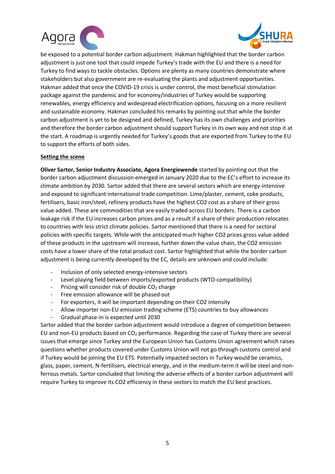



be exposed to a potential border carbon adjustment. Hakman highlighted that the border carbon adjustment is just one tool that could impede Turkey's trade with the EU and there is a need for Turkey to find ways to tackle obstacles. Options are plenty as many countries demonstrate where stakeholders but also government are re-evaluating the plants and adjustment opportunities. Hakman added that once the COVID-19 crisis is under control, the most beneficial stimulation package against the pandemic and for economy/industries of Turkey would be supporting renewables, energy efficiency and widespread electrification options, focusing on a more resilient and sustainable economy. Hakman concluded his remarks by pointing out that while the border carbon adjustment is yet to be designed and defined, Turkey has its own challenges and priorities and therefore the border carbon adjustment should support Turkey in its own way and not stop it at the start. A roadmap is urgently needed for Turkey's goods that are exported from Turkey to the EU to support the efforts of both sides.

### **Setting the scene**

**Oliver Sartor, Senior Industry Associate, Agora Energiewende** started by pointing out that the border carbon adjustment discussion emerged in January 2020 due to the EC's effort to increase its climate ambition by 2030. Sartor added that there are several sectors which are energy-intensive and exposed to significant international trade competition. Lime/plaster, cement, coke products, fertilisers, basic iron/steel, refinery products have the highest CO2 cost as a share of their gross value added. These are commodities that are easily traded across EU borders. There is a carbon leakage risk if the EU increases carbon prices and as a result if a share of their production relocates to countries with less strict climate policies. Sartor mentioned that there is a need for sectoral policies with specific targets. While with the anticipated much higher CO2 prices gross value added of these products in the upstream will increase, further down the value chain, the CO2 emission costs have a lower share of the total product cost. Sartor highlighted that while the border carbon adjustment is being currently developed by the EC, details are unknown and could include:

- Inclusion of only selected energy-intensive sectors
- Level playing field between imports/exported products (WTO-compatibility)
- Pricing will consider risk of double  $CO<sub>2</sub>$  charge
- Free emission allowance will be phased out
- For exporters, it will be important depending on their CO2 intensity
- Allow importer non-EU emission trading scheme (ETS) countries to buy allowances
- Gradual phase-in is expected until 2030

Sartor added that the border carbon adjustment would introduce a degree of competition between EU and non-EU products based on  $CO<sub>2</sub>$  performance. Regarding the case of Turkey there are several issues that emerge since Turkey and the European Union has Customs Union agreement which raises questions whether products covered under Customs Union will not go through customs control and if Turkey would be joining the EU ETS. Potentially impacted sectors in Turkey would be ceramics, glass, paper, cement, N-fertilisers, electrical energy, and in the medium-term it will be steel and nonferrous metals. Sartor concluded that limiting the adverse effects of a border carbon adjustment will require Turkey to improve its CO2 efficiency in these sectors to match the EU best practices.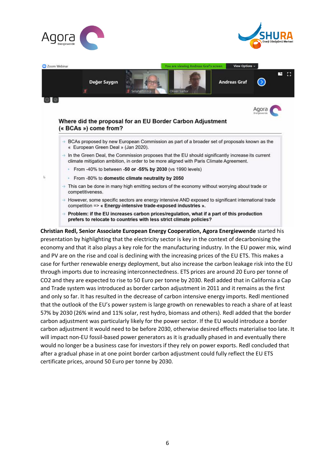





- $\rightarrow$  However, some specific sectors are energy intensive AND exposed to significant international trade competition => « Energy-intensive trade-exposed industries ».
- $\rightarrow$  Problem: if the EU increases carbon prices/regulation, what if a part of this production prefers to relocate to countries with less strict climate policies?

**Christian Redl, Senior Associate European Energy Cooperation, Agora Energiewende** started his presentation by highlighting that the electricity sector is key in the context of decarbonising the economy and that it also plays a key role for the manufacturing industry. In the EU power mix, wind and PV are on the rise and coal is declining with the increasing prices of the EU ETS. This makes a case for further renewable energy deployment, but also increase the carbon leakage risk into the EU through imports due to increasing interconnectedness. ETS prices are around 20 Euro per tonne of CO2 and they are expected to rise to 50 Euro per tonne by 2030. Redl added that in California a Cap and Trade system was introduced as border carbon adjustment in 2011 and it remains as the first and only so far. It has resulted in the decrease of carbon intensive energy imports. Redl mentioned that the outlook of the EU's power system is large growth on renewables to reach a share of at least 57% by 2030 (26% wind and 11% solar, rest hydro, biomass and others). Redl added that the border carbon adjustment was particularly likely for the power sector. If the EU would introduce a border carbon adjustment it would need to be before 2030, otherwise desired effects materialise too late. It will impact non-EU fossil-based power generators as it is gradually phased in and eventually there would no longer be a business case for investors if they rely on power exports. Redl concluded that after a gradual phase in at one point border carbon adjustment could fully reflect the EU ETS certificate prices, around 50 Euro per tonne by 2030.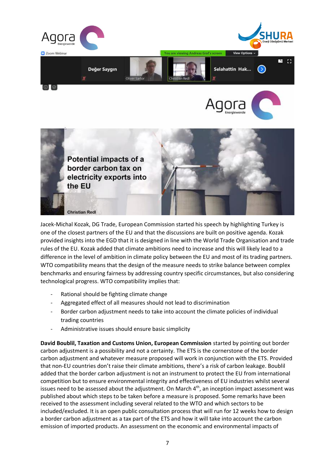

Jacek-Michal Kozak, DG Trade, European Commission started his speech by highlighting Turkey is one of the closest partners of the EU and that the discussions are built on positive agenda. Kozak provided insights into the EGD that it is designed in line with the World Trade Organisation and trade rules of the EU. Kozak added that climate ambitions need to increase and this will likely lead to a difference in the level of ambition in climate policy between the EU and most of its trading partners. WTO compatibility means that the design of the measure needs to strike balance between complex benchmarks and ensuring fairness by addressing country specific circumstances, but also considering technological progress. WTO compatibility implies that:

- Rational should be fighting climate change
- Aggregated effect of all measures should not lead to discrimination
- Border carbon adjustment needs to take into account the climate policies of individual trading countries
- Administrative issues should ensure basic simplicity

**David Boublil, Taxation and Customs Union, European Commission** started by pointing out border carbon adjustment is a possibility and not a certainty. The ETS is the cornerstone of the border carbon adjustment and whatever measure proposed will work in conjunction with the ETS. Provided that non-EU countries don't raise their climate ambitions, there's a risk of carbon leakage. Boublil added that the border carbon adjustment is not an instrument to protect the EU from international competition but to ensure environmental integrity and effectiveness of EU industries whilst several issues need to be assessed about the adjustment. On March 4<sup>th</sup>, an inception impact assessment was published about which steps to be taken before a measure is proposed. Some remarks have been received to the assessment including several related to the WTO and which sectors to be included/excluded. It is an open public consultation process that will run for 12 weeks how to design a border carbon adjustment as a tax part of the ETS and how it will take into account the carbon emission of imported products. An assessment on the economic and environmental impacts of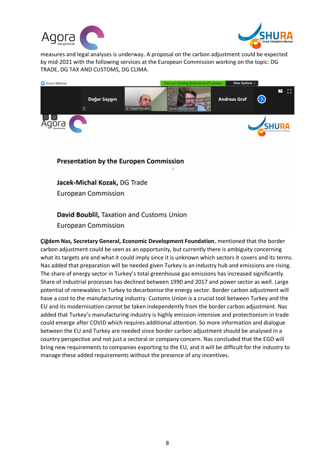



measures and legal analyses is underway. A proposal on the carbon adjustment could be expected by mid-2021 with the following services at the European Commission working on the topic: DG TRADE, DG TAX AND CUSTOMS, DG CLIMA.



## Presentation by the Europen Commission

Jacek-Michal Kozak, DG Trade **European Commission** 

## David Boublil, Taxation and Customs Union

**European Commission** 

**Çiğdem Nas, Secretary General, Economic Development Foundation**, mentioned that the border carbon adjustment could be seen as an opportunity, but currently there is ambiguity concerning what its targets are and what it could imply since it is unknown which sectors it covers and its terms. Nas added that preparation will be needed given Turkey is an industry hub and emissions are rising. The share of energy sector in Turkey's total greenhouse gas emissions has increased significantly. Share of industrial processes has declined between 1990 and 2017 and power sector as well. Large potential of renewables in Turkey to decarbonise the energy sector. Border carbon adjustment will have a cost to the manufacturing industry. Customs Union is a crucial tool between Turkey and the EU and its modernisation cannot be taken independently from the border carbon adjustment. Nas added that Turkey's manufacturing industry is highly emission intensive and protectionism in trade could emerge after COVID which requires additional attention. So more information and dialogue between the EU and Turkey are needed since border carbon adjustment should be analysed in a country perspective and not just a sectoral or company concern. Nas concluded that the EGD will bring new requirements to companies exporting to the EU, and it will be difficult for the industry to manage these added requirements without the presence of any incentives.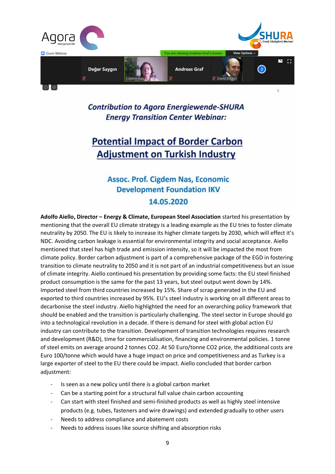

**Contribution to Agora Energiewende-SHURA Energy Transition Center Webinar:** 

# **Potential Impact of Border Carbon Adjustment on Turkish Industry**

# **Assoc. Prof. Cigdem Nas, Economic Development Foundation IKV** 14.05.2020

**Adolfo Aiello, Director – Energy & Climate, European Steel Association** started his presentation by mentioning that the overall EU climate strategy is a leading example as the EU tries to foster climate neutrality by 2050. The EU is Iikely to increase its higher climate targets by 2030, which will effect it's NDC. Avoiding carbon leakage is essential for environmental integrity and social acceptance. Aiello mentioned that steel has high trade and emission intensity, so it will be impacted the most from climate policy. Border carbon adjustment is part of a comprehensive package of the EGD in fostering transition to climate neutrality to 2050 and it is not part of an industrial competitiveness but an issue of climate integrity. Aiello continued his presentation by providing some facts: the EU steel finished product consumption is the same for the past 13 years, but steel output went down by 14%. Imported steel from third countries increased by 15%. Share of scrap generated in the EU and exported to third countries increased by 95%. EU's steel industry is working on all different areas to decarbonise the steel industry. Aiello highlighted the need for an overarching policy framework that should be enabled and the transition is particularly challenging. The steel sector in Europe should go into a technological revolution in a decade. If there is demand for steel with global action EU industry can contribute to the transition. Development of transition technologies requires research and development (R&D), time for commercialisation, financing and environmental policies. 1 tonne of steel emits on average around 2 tonnes CO2. At 50 Euro/tonne CO2 price, the additional costs are Euro 100/tonne which would have a huge impact on price and competitiveness and as Turkey is a large exporter of steel to the EU there could be impact. Aiello concluded that border carbon adjustment:

- Is seen as a new policy until there is a global carbon market
- Can be a starting point for a structural full value chain carbon accounting
- Can start with steel finished and semi-finished products as well as highly steel intensive products (e.g. tubes, fasteners and wire drawings) and extended gradually to other users
- Needs to address compliance and abatement costs
- Needs to address issues like source shifting and absorption risks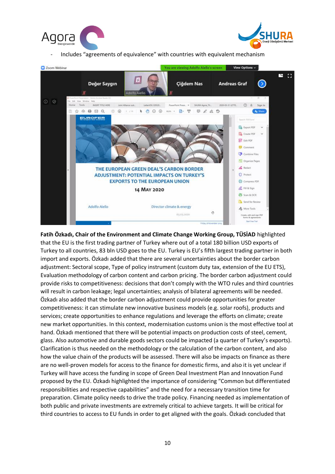



- Includes "agreements of equivalence" with countries with equivalent mechanism



## **Fatih Özkadı, Chair of the Environment and Climate Change Working Group, TÜSİAD** highlighted that the EU is the first trading partner of Turkey where out of a total 180 billion USD exports of Turkey to all countries, 83 bln USD goes to the EU. Turkey is EU's fifth largest trading partner in both import and exports. Özkadı added that there are several uncertainties about the border carbon adjustment: Sectoral scope, Type of policy instrument (custom duty tax, extension of the EU ETS), Evaluation methodology of carbon content and carbon pricing. The border carbon adjustment could provide risks to competitiveness: decisions that don't comply with the WTO rules and third countries will result in carbon leakage; legal uncertainties; analysis of bilateral agreements will be needed. Özkadı also added that the border carbon adjustment could provide opportunities for greater competitiveness: it can stimulate new innovative business models (e.g. solar roofs), products and services; create opportunities to enhance regulations and leverage the efforts on climate; create new market opportunities. In this context, modernisation customs union is the most effective tool at hand. Özkadı mentioned that there will be potential impacts on production costs of steel, cement, glass. Also automotive and durable goods sectors could be impacted (a quarter of Turkey's exports). Clarification is thus needed on the methodology or the calculation of the carbon content, and also how the value chain of the products will be assessed. There will also be impacts on finance as there are no well-proven models for access to the finance for domestic firms, and also it is yet unclear if Turkey will have access the funding in scope of Green Deal Investment Plan and Innovation Fund proposed by the EU. Özkadı highlighted the importance of considering "Common but differentiated responsibilities and respective capabilities" and the need for a necessary transition time for preparation. Climate policy needs to drive the trade policy. Financing needed as implementation of both public and private investments are extremely critical to achieve targets. It will be critical for third countries to access to EU funds in order to get aligned with the goals. Özkadı concluded that